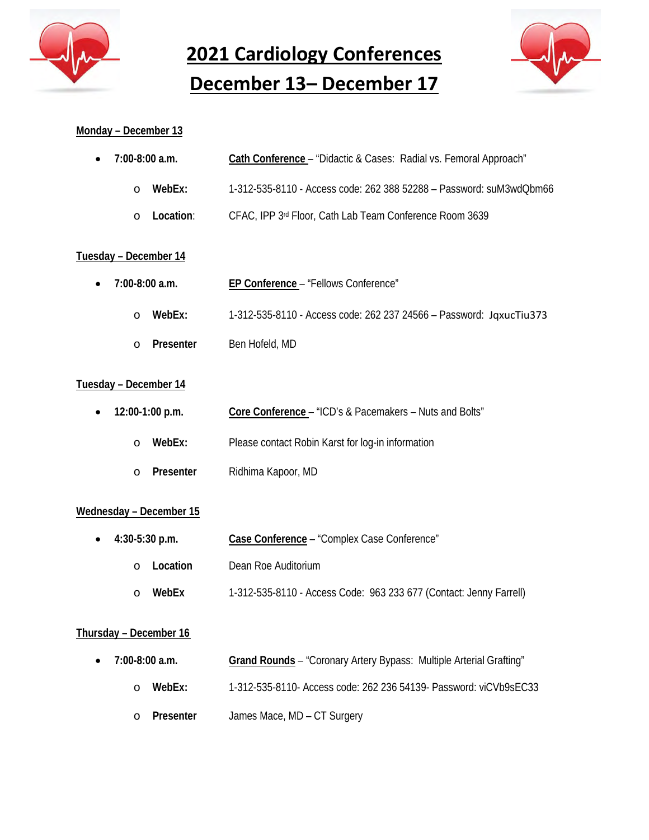

**2021 Cardiology Conferences December 13– December 17**



#### **Monday – December 13**

| • $7:00-8:00$ a.m. | Cath Conference - "Didactic & Cases: Radial vs. Femoral Approach"   |
|--------------------|---------------------------------------------------------------------|
| WebEx:<br>$\cap$   | 1-312-535-8110 - Access code: 262 388 52288 - Password: suM3wdQbm66 |
| o Location:        | CFAC, IPP 3rd Floor, Cath Lab Team Conference Room 3639             |

## **Tuesday – December 14**

| $\bullet$ 7:00-8:00 a.m. |           | EP Conference - "Fellows Conference"                                |
|--------------------------|-----------|---------------------------------------------------------------------|
| O                        | WebEx:    | 1-312-535-8110 - Access code: 262 237 24566 - Password: JaxucTiu373 |
| $\cap$                   | Presenter | Ben Hofeld, MD                                                      |

## **Tuesday – December 14**

|          | • $12:00-1:00$ p.m. | Core Conference – "ICD's & Pacemakers – Nuts and Bolts" |
|----------|---------------------|---------------------------------------------------------|
| $\cap$   | WebEx:              | Please contact Robin Karst for log-in information       |
| $\Omega$ | Presenter           | Ridhima Kapoor, MD                                      |

#### **Wednesday – December 15**

| • $4:30-5:30$ p.m. | Case Conference - "Complex Case Conference"                        |
|--------------------|--------------------------------------------------------------------|
| Location<br>$\cap$ | Dean Roe Auditorium                                                |
| WebEx<br>∩         | 1-312-535-8110 - Access Code: 963 233 677 (Contact: Jenny Farrell) |

## **Thursday – December 16**

| • $7:00-8:00$ a.m. | Grand Rounds - "Coronary Artery Bypass: Multiple Arterial Grafting" |
|--------------------|---------------------------------------------------------------------|
| WebEx:             | 1-312-535-8110- Access code: 262 236 54139- Password: viCVb9sEC33   |
| o Presenter        | James Mace, MD – CT Surgery                                         |